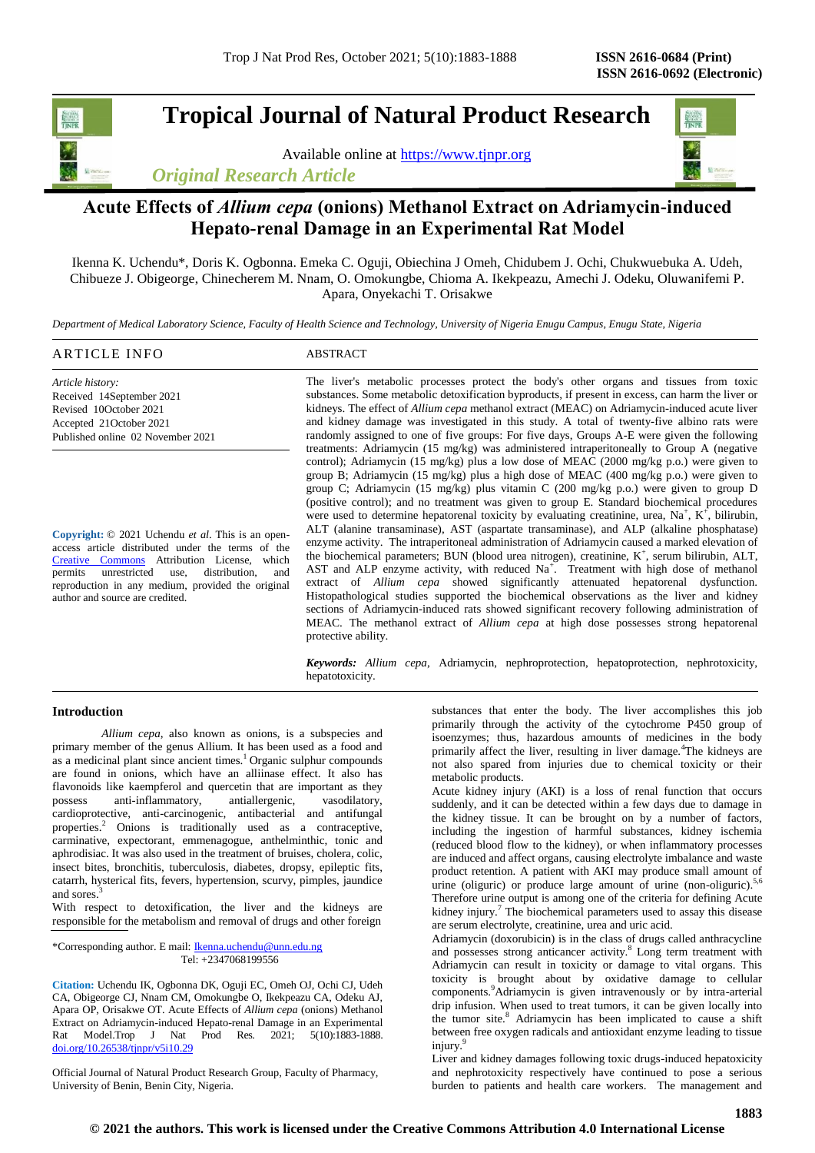# **Tropical Journal of Natural Product Research**

Available online at [https://www.tjnpr.org](https://www.tjnpr.org/) *Original Research Article*



# **Acute Effects of** *Allium cepa* **(onions) Methanol Extract on Adriamycin-induced Hepato-renal Damage in an Experimental Rat Model**

Ikenna K. Uchendu\*, Doris K. Ogbonna. Emeka C. Oguji, Obiechina J Omeh, Chidubem J. Ochi, Chukwuebuka A. Udeh, Chibueze J. Obigeorge, Chinecherem M. Nnam, O. Omokungbe, Chioma A. Ikekpeazu, Amechi J. Odeku, Oluwanifemi P. Apara, Onyekachi T. Orisakwe

*Department of Medical Laboratory Science, Faculty of Health Science and Technology, University of Nigeria Enugu Campus, Enugu State, Nigeria*

| ARTICLE INFO                                                                                                   | <b>ABSTRACT</b>                                                                                                                                                                            |
|----------------------------------------------------------------------------------------------------------------|--------------------------------------------------------------------------------------------------------------------------------------------------------------------------------------------|
| Article history:                                                                                               | The liver's metabolic processes protect the body's other organs and tissues from toxic                                                                                                     |
| Received 14September 2021                                                                                      | substances. Some metabolic detoxification byproducts, if present in excess, can harm the liver or                                                                                          |
| Revised 10October 2021                                                                                         | kidneys. The effect of <i>Allium cepa</i> methanol extract (MEAC) on <i>Adriamycin</i> -induced acute liver                                                                                |
| Accepted 21October 2021                                                                                        | and kidney damage was investigated in this study. A total of twenty-five albino rats were                                                                                                  |
| Published online 02 November 2021                                                                              | randomly assigned to one of five groups: For five days, Groups A-E were given the following<br>treatments: Adriamycin (15 mg/kg) was administered intraperitoneally to Group A (negative   |
|                                                                                                                | control); Adriamycin (15 mg/kg) plus a low dose of MEAC (2000 mg/kg p.o.) were given to                                                                                                    |
|                                                                                                                | group B; Adriamycin (15 mg/kg) plus a high dose of MEAC (400 mg/kg p.o.) were given to                                                                                                     |
|                                                                                                                | group C; Adriamycin (15 mg/kg) plus vitamin C (200 mg/kg p.o.) were given to group D                                                                                                       |
|                                                                                                                | (positive control); and no treatment was given to group E. Standard biochemical procedures                                                                                                 |
|                                                                                                                | were used to determine hepatorenal toxicity by evaluating creatinine, urea, $Na+$ , $K+$ , bilirubin,                                                                                      |
| Copyright: © 2021 Uchendu <i>et al</i> . This is an open-<br>access article distributed under the terms of the | ALT (alanine transaminase), AST (aspartate transaminase), and ALP (alkaline phosphatase)<br>enzyme activity. The intraperitoneal administration of Adriamycin caused a marked elevation of |

access article distributed under the terms of the [Creative Commons](https://creativecommons.org/licenses/by/4.0/) Attribution License, which permits unrestricted use, distribution, and reproduction in any medium, provided the original author and source are credited.

the biochemical parameters; BUN (blood urea nitrogen), creatinine, K<sup>+</sup>, serum bilirubin, ALT, AST and ALP enzyme activity, with reduced Na<sup>+</sup>. Treatment with high dose of methanol extract of *Allium cepa* showed significantly attenuated hepatorenal dysfunction. Histopathological studies supported the biochemical observations as the liver and kidney sections of Adriamycin-induced rats showed significant recovery following administration of MEAC. The methanol extract of *Allium cepa* at high dose possesses strong hepatorenal protective ability.

*Keywords: Allium cepa*, Adriamycin, nephroprotection, hepatoprotection, nephrotoxicity, hepatotoxicity.

# **Introduction**

*Allium cepa*, also known as onions, is a subspecies and primary member of the genus Allium. It has been used as a food and as a medicinal plant since ancient times.<sup>1</sup> Organic sulphur compounds are found in onions, which have an alliinase effect. It also has flavonoids like kaempferol and quercetin that are important as they possess anti-inflammatory, antiallergenic, vasodilatory, anti-inflammatory, antiallergenic, vasodilatory, cardioprotective, anti-carcinogenic, antibacterial and antifungal properties.<sup>2</sup> Onions is traditionally used as a contraceptive, carminative, expectorant, emmenagogue, anthelminthic, tonic and aphrodisiac. It was also used in the treatment of bruises, cholera, colic, insect bites, bronchitis, tuberculosis, diabetes, dropsy, epileptic fits, catarrh, hysterical fits, fevers, hypertension, scurvy, pimples, jaundice and sores.

With respect to detoxification, the liver and the kidneys are responsible for the metabolism and removal of drugs and other foreign

\*Corresponding author. E mail[: Ikenna.uchendu@unn.edu.ng](mailto:Ikenna.uchendu@unn.edu.ng) Tel: +2347068199556

**Citation:** Uchendu IK, Ogbonna DK, Oguji EC, Omeh OJ, Ochi CJ, Udeh CA, Obigeorge CJ, Nnam CM, Omokungbe O, Ikekpeazu CA, Odeku AJ, Apara OP, Orisakwe OT. Acute Effects of *Allium cepa* (onions) Methanol Extract on Adriamycin-induced Hepato-renal Damage in an Experimental Rat Model.Trop J Nat Prod Res. 2021; 5(10):1883-1888. [doi.org/10.26538/tjnpr/v5i10.2](http://www.doi.org/10.26538/tjnpr/v1i4.5)9

Official Journal of Natural Product Research Group, Faculty of Pharmacy, University of Benin, Benin City, Nigeria.

substances that enter the body. The liver accomplishes this job primarily through the activity of the cytochrome P450 group of isoenzymes; thus, hazardous amounts of medicines in the body primarily affect the liver, resulting in liver damage.<sup>4</sup>The kidneys are not also spared from injuries due to chemical toxicity or their metabolic products.

Acute kidney injury (AKI) is a loss of renal function that occurs suddenly, and it can be detected within a few days due to damage in the kidney tissue. It can be brought on by a number of factors, including the ingestion of harmful substances, kidney ischemia (reduced blood flow to the kidney), or when inflammatory processes are induced and affect organs, causing electrolyte imbalance and waste product retention. A patient with AKI may produce small amount of urine (oliguric) or produce large amount of urine (non-oliguric).<sup>5</sup> Therefore urine output is among one of the criteria for defining Acute kidney injury.<sup>7</sup> The biochemical parameters used to assay this disease are serum electrolyte, creatinine, urea and uric acid.

Adriamycin (doxorubicin) is in the class of drugs called anthracycline and possesses strong anticancer activity.<sup>8</sup> Long term treatment with Adriamycin can result in toxicity or damage to vital organs. This toxicity is brought about by oxidative damage to cellular components.<sup>9</sup>Adriamycin is given intravenously or by intra-arterial drip infusion. When used to treat tumors, it can be given locally into the tumor site.<sup>8</sup> Adriamycin has been implicated to cause a shift between free oxygen radicals and antioxidant enzyme leading to tissue injury.<sup>9</sup>

Liver and kidney damages following toxic drugs-induced hepatoxicity and nephrotoxicity respectively have continued to pose a serious burden to patients and health care workers. The management and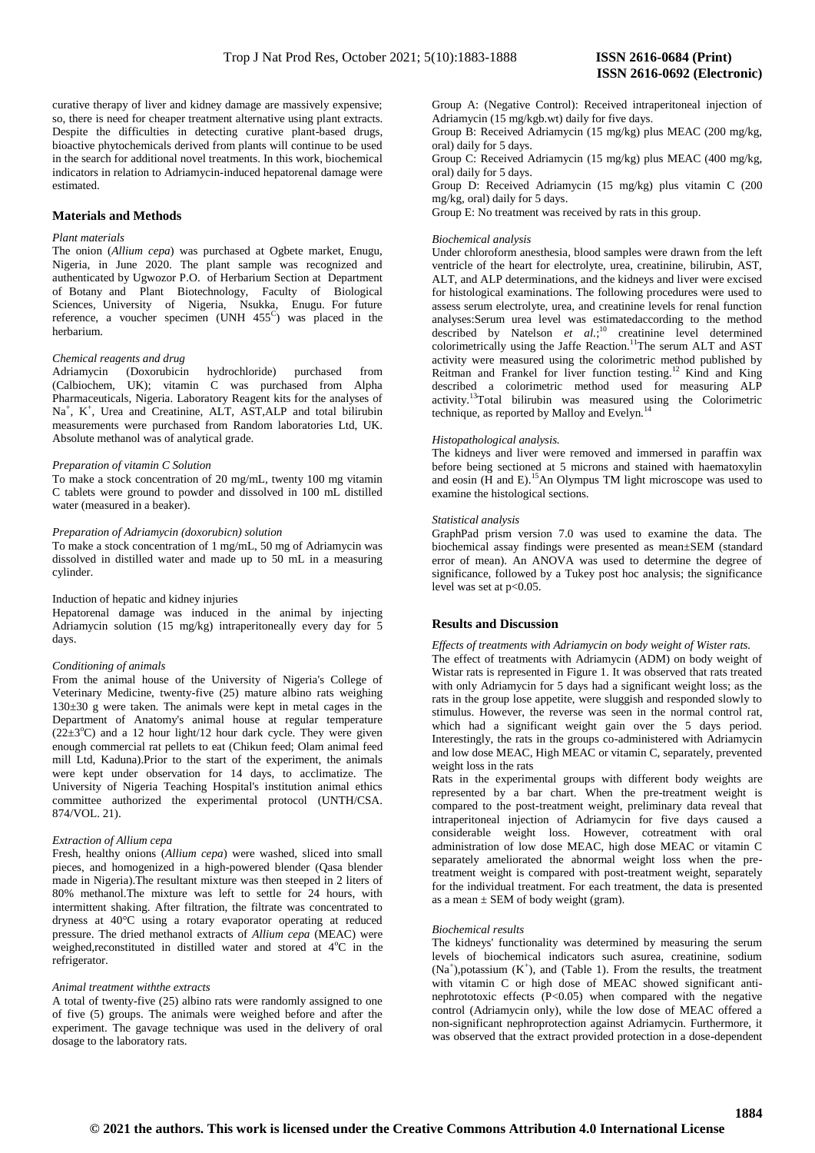curative therapy of liver and kidney damage are massively expensive; so, there is need for cheaper treatment alternative using plant extracts. Despite the difficulties in detecting curative plant-based drugs, bioactive phytochemicals derived from plants will continue to be used in the search for additional novel treatments. In this work, biochemical indicators in relation to Adriamycin-induced hepatorenal damage were estimated.

# **Materials and Methods**

## *Plant materials*

The onion (*Allium cepa*) was purchased at Ogbete market, Enugu, Nigeria, in June 2020. The plant sample was recognized and authenticated by Ugwozor P.O. of Herbarium Section at Department of Botany and Plant Biotechnology, Faculty of Biological Sciences, University of Nigeria, Nsukka, Enugu. For future reference, a voucher specimen (UNH  $455<sup>C</sup>$ ) was placed in the herbarium.

# *Chemical reagents and drug*

Adriamycin (Doxorubicin hydrochloride) purchased from (Calbiochem, UK); vitamin C was purchased from Alpha Pharmaceuticals, Nigeria. Laboratory Reagent kits for the analyses of Na<sup>+</sup>, K<sup>+</sup>, Urea and Creatinine, ALT, AST, ALP and total bilirubin measurements were purchased from Random laboratories Ltd, UK. Absolute methanol was of analytical grade.

#### *Preparation of vitamin C Solution*

To make a stock concentration of 20 mg/mL, twenty 100 mg vitamin C tablets were ground to powder and dissolved in 100 mL distilled water (measured in a beaker).

## *Preparation of Adriamycin (doxorubicn) solution*

To make a stock concentration of 1 mg/mL, 50 mg of Adriamycin was dissolved in distilled water and made up to 50 mL in a measuring cylinder.

#### Induction of hepatic and kidney injuries

Hepatorenal damage was induced in the animal by injecting Adriamycin solution (15 mg/kg) intraperitoneally every day for 5 days.

## *Conditioning of animals*

From the animal house of the University of Nigeria's College of Veterinary Medicine, twenty-five (25) mature albino rats weighing 130±30 g were taken. The animals were kept in metal cages in the Department of Anatomy's animal house at regular temperature  $(22\pm3^{\circ}C)$  and a 12 hour light/12 hour dark cycle. They were given enough commercial rat pellets to eat (Chikun feed; Olam animal feed mill Ltd, Kaduna).Prior to the start of the experiment, the animals were kept under observation for 14 days, to acclimatize. The University of Nigeria Teaching Hospital's institution animal ethics committee authorized the experimental protocol (UNTH/CSA. 874/VOL. 21).

#### *Extraction of Allium cepa*

Fresh, healthy onions (*Allium cepa*) were washed, sliced into small pieces, and homogenized in a high-powered blender (Qasa blender made in Nigeria).The resultant mixture was then steeped in 2 liters of 80% methanol.The mixture was left to settle for 24 hours, with intermittent shaking. After filtration, the filtrate was concentrated to dryness at 40°C using a rotary evaporator operating at reduced pressure. The dried methanol extracts of *Allium cepa* (MEAC) were weighed, reconstituted in distilled water and stored at 4°C in the refrigerator.

#### *Animal treatment withthe extracts*

A total of twenty-five (25) albino rats were randomly assigned to one of five (5) groups. The animals were weighed before and after the experiment. The gavage technique was used in the delivery of oral dosage to the laboratory rats.

Group A: (Negative Control): Received intraperitoneal injection of Adriamycin (15 mg/kgb.wt) daily for five days.

Group B: Received Adriamycin (15 mg/kg) plus MEAC (200 mg/kg, oral) daily for 5 days.

Group C: Received Adriamycin (15 mg/kg) plus MEAC (400 mg/kg, oral) daily for 5 days.

Group D: Received Adriamycin (15 mg/kg) plus vitamin C (200 mg/kg, oral) daily for 5 days.

Group E: No treatment was received by rats in this group.

#### *Biochemical analysis*

Under chloroform anesthesia, blood samples were drawn from the left ventricle of the heart for electrolyte, urea, creatinine, bilirubin, AST, ALT, and ALP determinations, and the kidneys and liver were excised for histological examinations. The following procedures were used to assess serum electrolyte, urea, and creatinine levels for renal function analyses:Serum urea level was estimatedaccording to the method described by Natelson et al.;<sup>10</sup> creatinine level determined colorimetrically using the Jaffe Reaction.<sup>11</sup>The serum ALT and AST activity were measured using the colorimetric method published by Reitman and Frankel for liver function testing.<sup>12</sup> Kind and King described a colorimetric method used for measuring ALP activity.<sup>13</sup>Total bilirubin was measured using the Colorimetric technique, as reported by Malloy and Evelyn.<sup>14</sup>

# *Histopathological analysis.*

The kidneys and liver were removed and immersed in paraffin wax before being sectioned at 5 microns and stained with haematoxylin and eosin  $(H$  and E).<sup>15</sup>An Olympus TM light microscope was used to examine the histological sections.

#### *Statistical analysis*

GraphPad prism version 7.0 was used to examine the data. The biochemical assay findings were presented as mean±SEM (standard error of mean). An ANOVA was used to determine the degree of significance, followed by a Tukey post hoc analysis; the significance level was set at p<0.05.

# **Results and Discussion**

*Effects of treatments with Adriamycin on body weight of Wister rats.* The effect of treatments with Adriamycin (ADM) on body weight of Wistar rats is represented in Figure 1. It was observed that rats treated with only Adriamycin for 5 days had a significant weight loss; as the rats in the group lose appetite, were sluggish and responded slowly to stimulus. However, the reverse was seen in the normal control rat, which had a significant weight gain over the 5 days period. Interestingly, the rats in the groups co-administered with Adriamycin and low dose MEAC, High MEAC or vitamin C, separately, prevented weight loss in the rats

Rats in the experimental groups with different body weights are represented by a bar chart. When the pre-treatment weight is compared to the post-treatment weight, preliminary data reveal that intraperitoneal injection of Adriamycin for five days caused a considerable weight loss. However, cotreatment with oral administration of low dose MEAC, high dose MEAC or vitamin C separately ameliorated the abnormal weight loss when the pretreatment weight is compared with post-treatment weight, separately for the individual treatment. For each treatment, the data is presented as a mean  $\pm$  SEM of body weight (gram).

#### *Biochemical results*

The kidneys' functionality was determined by measuring the serum levels of biochemical indicators such asurea, creatinine, sodium  $(Na<sup>+</sup>)$ , potassium  $(K<sup>+</sup>)$ , and (Table 1). From the results, the treatment with vitamin C or high dose of MEAC showed significant antinephrototoxic effects  $(P<0.05)$  when compared with the negative control (Adriamycin only), while the low dose of MEAC offered a non-significant nephroprotection against Adriamycin. Furthermore, it was observed that the extract provided protection in a dose-dependent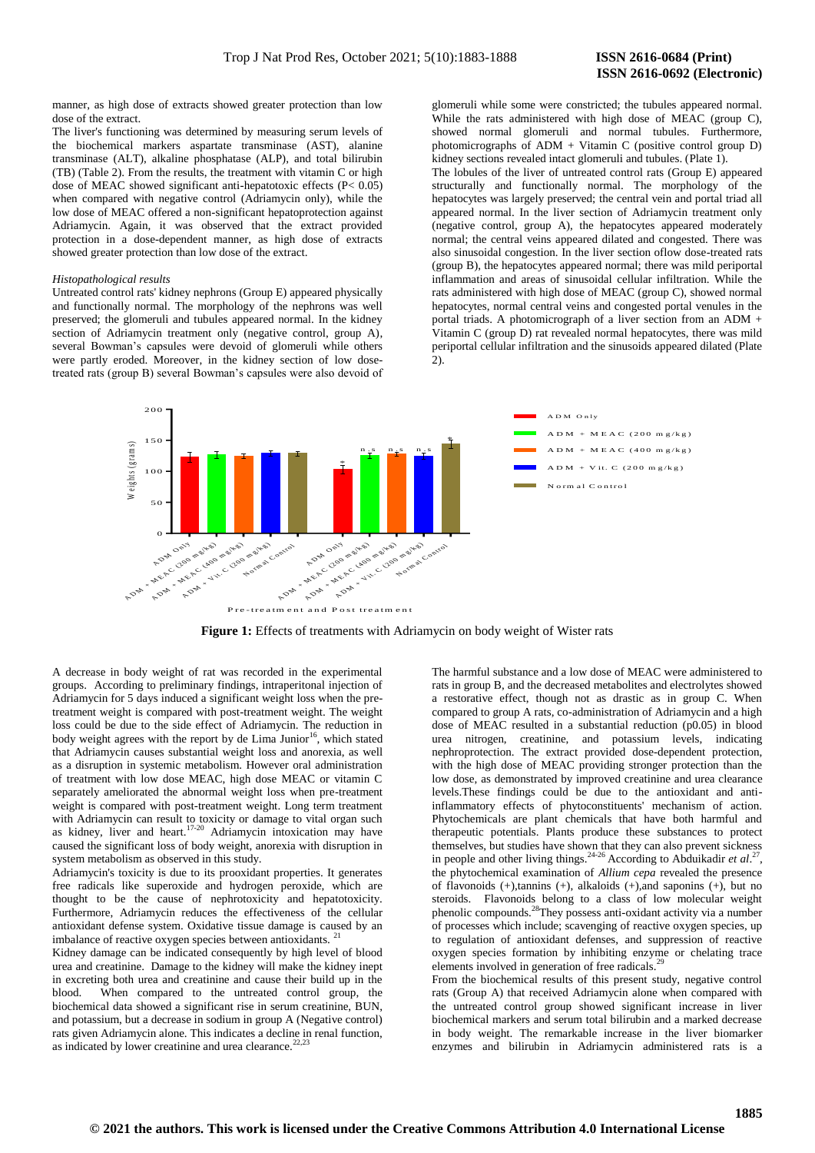manner, as high dose of extracts showed greater protection than low dose of the extract.

The liver's functioning was determined by measuring serum levels of the biochemical markers aspartate transminase (AST), alanine transminase (ALT), alkaline phosphatase (ALP), and total bilirubin (TB) (Table 2). From the results, the treatment with vitamin C or high dose of MEAC showed significant anti-hepatotoxic effects (P< 0.05) when compared with negative control (Adriamycin only), while the low dose of MEAC offered a non-significant hepatoprotection against Adriamycin. Again, it was observed that the extract provided protection in a dose-dependent manner, as high dose of extracts showed greater protection than low dose of the extract.

#### *Histopathological results*

Untreated control rats' kidney nephrons (Group E) appeared physically and functionally normal. The morphology of the nephrons was well preserved; the glomeruli and tubules appeared normal. In the kidney section of Adriamycin treatment only (negative control, group A), several Bowman's capsules were devoid of glomeruli while others were partly eroded. Moreover, in the kidney section of low dosetreated rats (group B) several Bowman's capsules were also devoid of glomeruli while some were constricted; the tubules appeared normal. While the rats administered with high dose of MEAC (group C), showed normal glomeruli and normal tubules. Furthermore, photomicrographs of ADM + Vitamin C (positive control group D) kidney sections revealed intact glomeruli and tubules. (Plate 1).

The lobules of the liver of untreated control rats (Group E) appeared structurally and functionally normal. The morphology of the hepatocytes was largely preserved; the central vein and portal triad all appeared normal. In the liver section of Adriamycin treatment only (negative control, group A), the hepatocytes appeared moderately normal; the central veins appeared dilated and congested. There was also sinusoidal congestion. In the liver section oflow dose-treated rats (group B), the hepatocytes appeared normal; there was mild periportal inflammation and areas of sinusoidal cellular infiltration. While the rats administered with high dose of MEAC (group C), showed normal hepatocytes, normal central veins and congested portal venules in the portal triads. A photomicrograph of a liver section from an ADM + Vitamin C (group D) rat revealed normal hepatocytes, there was mild periportal cellular infiltration and the sinusoids appeared dilated (Plate 2).



Figure 1: Effects of treatments with Adriamycin on body weight of Wister rats

A decrease in body weight of rat was recorded in the experimental groups. According to preliminary findings, intraperitonal injection of Adriamycin for 5 days induced a significant weight loss when the pretreatment weight is compared with post-treatment weight. The weight loss could be due to the side effect of Adriamycin. The reduction in body weight agrees with the report by de Lima Junior<sup>16</sup>, which stated that Adriamycin causes substantial weight loss and anorexia, as well as a disruption in systemic metabolism. However oral administration of treatment with low dose MEAC, high dose MEAC or vitamin C separately ameliorated the abnormal weight loss when pre-treatment weight is compared with post-treatment weight. Long term treatment with Adriamycin can result to toxicity or damage to vital organ such as kidney, liver and heart.<sup>17-20</sup> Adriamycin intoxication may have caused the significant loss of body weight, anorexia with disruption in system metabolism as observed in this study.

Adriamycin's toxicity is due to its prooxidant properties. It generates free radicals like superoxide and hydrogen peroxide, which are thought to be the cause of nephrotoxicity and hepatotoxicity. Furthermore, Adriamycin reduces the effectiveness of the cellular antioxidant defense system. Oxidative tissue damage is caused by an imbalance of reactive oxygen species between antioxidants.<sup>2</sup>

Kidney damage can be indicated consequently by high level of blood urea and creatinine. Damage to the kidney will make the kidney inept in excreting both urea and creatinine and cause their build up in the blood. When compared to the untreated control group, the biochemical data showed a significant rise in serum creatinine, BUN, and potassium, but a decrease in sodium in group A (Negative control) rats given Adriamycin alone. This indicates a decline in renal function, as indicated by lower creatinine and urea clearance.<sup>2</sup>

The harmful substance and a low dose of MEAC were administered to rats in group B, and the decreased metabolites and electrolytes showed a restorative effect, though not as drastic as in group C. When compared to group A rats, co-administration of Adriamycin and a high dose of MEAC resulted in a substantial reduction (p0.05) in blood urea nitrogen, creatinine, and potassium levels, indicating nephroprotection. The extract provided dose-dependent protection, with the high dose of MEAC providing stronger protection than the low dose, as demonstrated by improved creatinine and urea clearance levels.These findings could be due to the antioxidant and antiinflammatory effects of phytoconstituents' mechanism of action. Phytochemicals are plant chemicals that have both harmful and therapeutic potentials. Plants produce these substances to protect themselves, but studies have shown that they can also prevent sickness in people and other living things.<sup>24-26</sup> According to Abduikadir *et al.*<sup>27</sup>, the phytochemical examination of *Allium cepa* revealed the presence of flavonoids (+),tannins (+), alkaloids (+),and saponins (+), but no steroids. Flavonoids belong to a class of low molecular weight phenolic compounds.<sup>28</sup>They possess anti-oxidant activity via a number of processes which include; scavenging of reactive oxygen species, up to regulation of antioxidant defenses, and suppression of reactive oxygen species formation by inhibiting enzyme or chelating trace elements involved in generation of free radicals.<sup>29</sup>

From the biochemical results of this present study, negative control rats (Group A) that received Adriamycin alone when compared with the untreated control group showed significant increase in liver biochemical markers and serum total bilirubin and a marked decrease in body weight. The remarkable increase in the liver biomarker enzymes and bilirubin in Adriamycin administered rats is a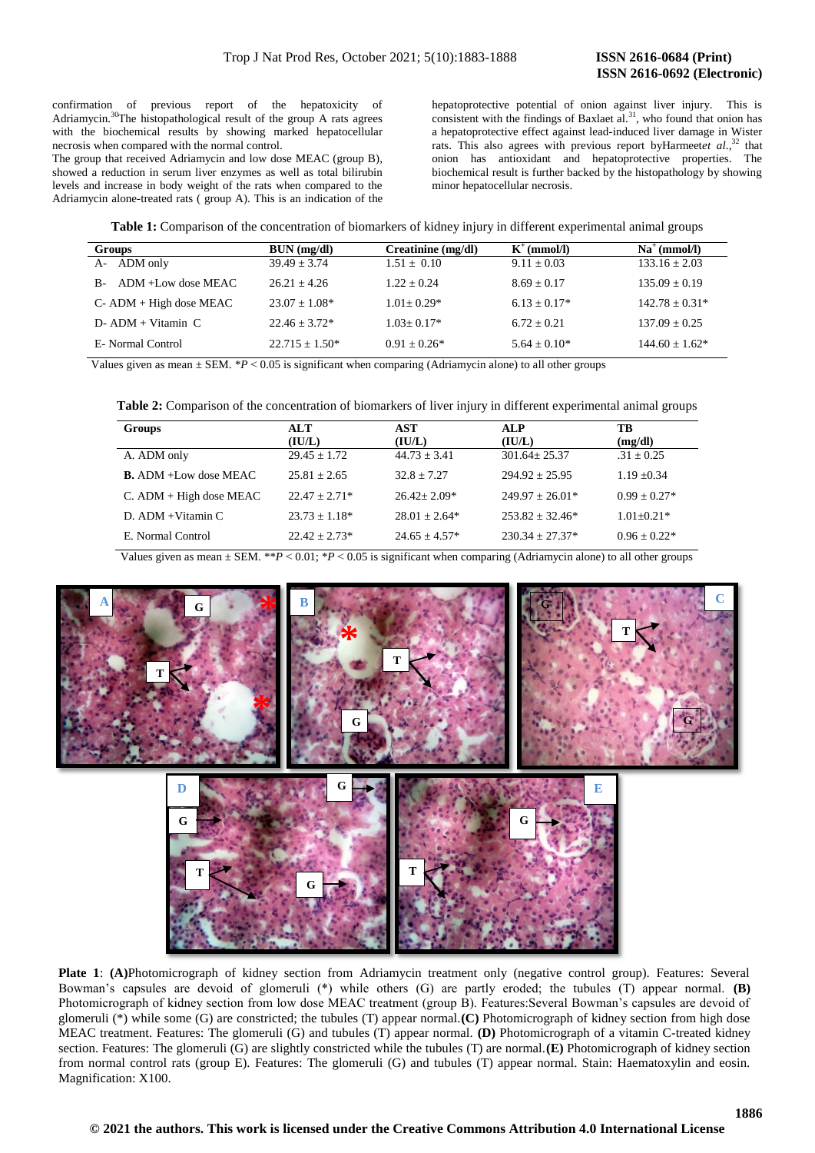confirmation of previous report of the hepatoxicity of Adriamycin.<sup>30</sup>The histopathological result of the group A rats agrees with the biochemical results by showing marked hepatocellular necrosis when compared with the normal control.

The group that received Adriamycin and low dose MEAC (group B), showed a reduction in serum liver enzymes as well as total bilirubin levels and increase in body weight of the rats when compared to the Adriamycin alone-treated rats ( group A). This is an indication of the hepatoprotective potential of onion against liver injury. This is consistent with the findings of Baxlaet  $aL^{31}$ , who found that onion has a hepatoprotective effect against lead-induced liver damage in Wister rats. This also agrees with previous report byHarmeet*et al*., <sup>32</sup> that onion has antioxidant and hepatoprotective properties. The biochemical result is further backed by the histopathology by showing minor hepatocellular necrosis.

| Table 1: Comparison of the concentration of biomarkers of kidney injury in different experimental animal groups |  |  |  |  |
|-----------------------------------------------------------------------------------------------------------------|--|--|--|--|
|-----------------------------------------------------------------------------------------------------------------|--|--|--|--|

| Groups                     | BUN (mg/dl)      | Creatinine (mg/dl) | $K^+$ (mmol/l) | $Na^+(mmol/l)$   |
|----------------------------|------------------|--------------------|----------------|------------------|
| ADM only<br>$A-$           | $39.49 + 3.74$   | $1.51 \pm 0.10$    | $9.11 + 0.03$  | $133.16 + 2.03$  |
| ADM +Low dose MEAC<br>$B-$ | $26.21 + 4.26$   | $1.22 + 0.24$      | $8.69 + 0.17$  | $135.09 + 0.19$  |
| $C - ADM + High dose MEAC$ | $23.07 + 1.08*$  | $1.01 + 0.29*$     | $6.13 + 0.17*$ | $142.78 + 0.31*$ |
| $D - ADM + Vitami n C$     | $22.46 + 3.72*$  | $1.03 + 0.17*$     | $6.72 + 0.21$  | $137.09 + 0.25$  |
| E- Normal Control          | $22.715 + 1.50*$ | $0.91 + 0.26*$     | $5.64 + 0.10*$ | $144.60 + 1.62*$ |

Values given as mean  $\pm$  SEM.  $*P < 0.05$  is significant when comparing (Adriamycin alone) to all other groups

**Table 2:** Comparison of the concentration of biomarkers of liver injury in different experimental animal groups

| Groups                          | ALT              | AST             | <b>ALP</b>          | TВ               |
|---------------------------------|------------------|-----------------|---------------------|------------------|
|                                 | (IU/L)           | (IU/L)          | (IU/L)              | (mg/dl)          |
| A. ADM only                     | $29.45 \pm 1.72$ | $44.73 + 3.41$  | $301.64 + 25.37$    | $.31 \pm 0.25$   |
| <b>B.</b> ADM $+$ Low dose MEAC | $25.81 + 2.65$   | $32.8 + 7.27$   | $294.92 + 25.95$    | $1.19 \pm 0.34$  |
| $C.$ ADM + High dose MEAC       | $22.47 + 2.71*$  | $26.42 + 2.09*$ | $249.97 + 26.01*$   | $0.99 + 0.27*$   |
| D. ADM + Vitamin C              | $23.73 + 1.18*$  | $28.01 + 2.64*$ | $253.82 + 32.46*$   | $1.01 + 0.21*$   |
| E. Normal Control               | $22.42 + 2.73*$  | $24.65 + 4.57*$ | $230.34 \pm 27.37*$ | $0.96 \pm 0.22*$ |

Values given as mean  $\pm$  SEM. \*\* $P < 0.01$ ; \* $P < 0.05$  is significant when comparing (Adriamycin alone) to all other groups



Plate 1: (A)Photomicrograph of kidney section from Adriamycin treatment only (negative control group). Features: Several Bowman's capsules are devoid of glomeruli (\*) while others (G) are partly eroded; the tubules (T) appear normal. **(B)**  Photomicrograph of kidney section from low dose MEAC treatment (group B). Features:Several Bowman's capsules are devoid of glomeruli (\*) while some (G) are constricted; the tubules (T) appear normal.**(C)** Photomicrograph of kidney section from high dose MEAC treatment. Features: The glomeruli (G) and tubules (T) appear normal. **(D)** Photomicrograph of a vitamin C-treated kidney section. Features: The glomeruli (G) are slightly constricted while the tubules (T) are normal.**(E)** Photomicrograph of kidney section from normal control rats (group E). Features: The glomeruli (G) and tubules (T) appear normal. Stain: Haematoxylin and eosin. Magnification: X100.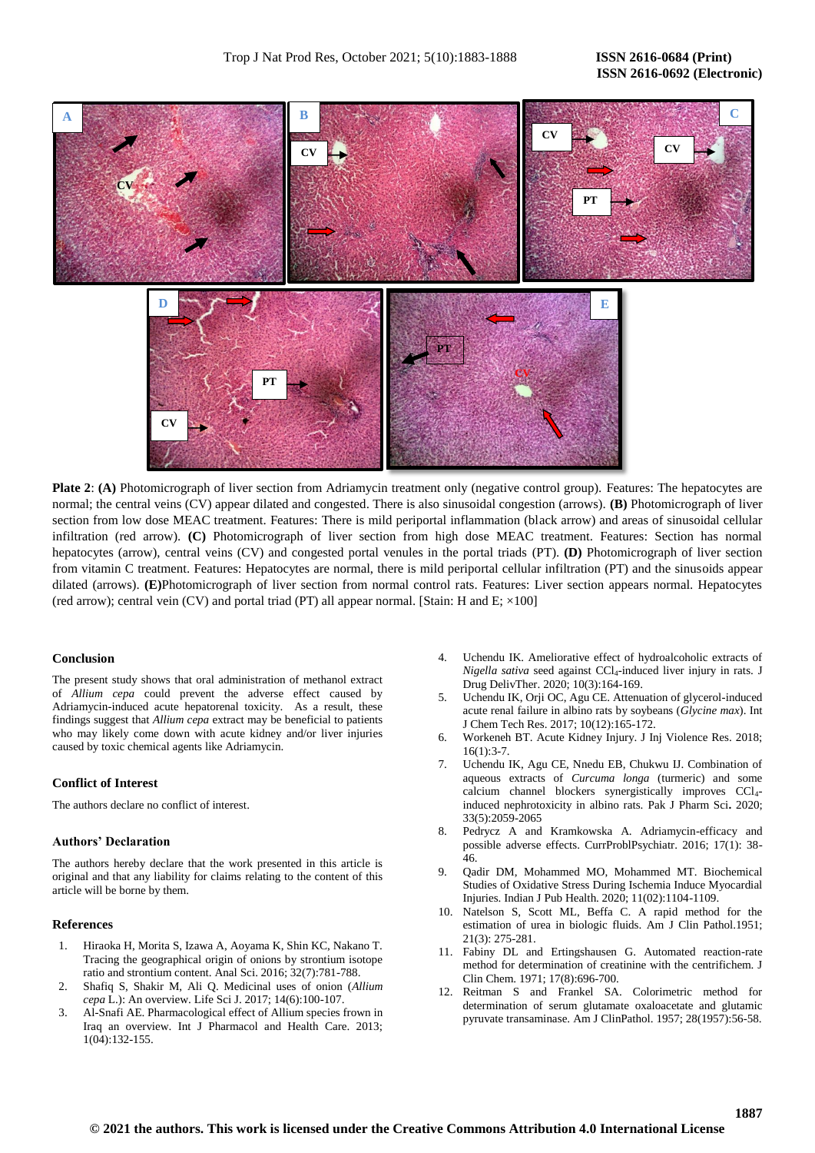# **ISSN 2616-0692 (Electronic)**



**Plate 2:** (A) Photomicrograph of liver section from Adriamycin treatment only (negative control group). Features: The hepatocytes are normal; the central veins (CV) appear dilated and congested. There is also sinusoidal congestion (arrows). **(B)** Photomicrograph of liver section from low dose MEAC treatment. Features: There is mild periportal inflammation (black arrow) and areas of sinusoidal cellular infiltration (red arrow). **(C)** Photomicrograph of liver section from high dose MEAC treatment. Features: Section has normal hepatocytes (arrow), central veins (CV) and congested portal venules in the portal triads (PT). **(D)** Photomicrograph of liver section from vitamin C treatment. Features: Hepatocytes are normal, there is mild periportal cellular infiltration (PT) and the sinusoids appear dilated (arrows). **(E)**Photomicrograph of liver section from normal control rats. Features: Liver section appears normal. Hepatocytes (red arrow); central vein (CV) and portal triad (PT) all appear normal. [Stain: H and E;  $\times 100$ ]

# **Conclusion**

The present study shows that oral administration of methanol extract of *Allium cepa* could prevent the adverse effect caused by Adriamycin-induced acute hepatorenal toxicity. As a result, these findings suggest that *Allium cepa* extract may be beneficial to patients who may likely come down with acute kidney and/or liver injuries caused by toxic chemical agents like Adriamycin.

#### **Conflict of Interest**

The authors declare no conflict of interest.

# **Authors' Declaration**

The authors hereby declare that the work presented in this article is original and that any liability for claims relating to the content of this article will be borne by them.

#### **References**

- 1. Hiraoka H, Morita S, Izawa A, Aoyama K, Shin KC, Nakano T. Tracing the geographical origin of onions by strontium isotope ratio and strontium content. Anal Sci. 2016; 32(7):781-788.
- 2. Shafiq S, Shakir M, Ali Q. Medicinal uses of onion (*Allium cepa* L.): An overview. Life Sci J. 2017; 14(6):100-107.
- 3. Al-Snafi AE. Pharmacological effect of Allium species frown in Iraq an overview. Int J Pharmacol and Health Care. 2013; 1(04):132-155.
- 4. Uchendu IK. Ameliorative effect of hydroalcoholic extracts of *Nigella sativa* seed against CCl4-induced liver injury in rats. J Drug DelivTher. 2020; 10(3):164-169.
- 5. Uchendu IK, Orji OC, Agu CE. Attenuation of glycerol-induced acute renal failure in albino rats by soybeans (*Glycine max*). Int J Chem Tech Res. 2017; 10(12):165-172.
- 6. Workeneh BT. Acute Kidney Injury. J Inj Violence Res. 2018;  $16(1):3-7.$
- 7. Uchendu IK, Agu CE, Nnedu EB, Chukwu IJ. Combination of aqueous extracts of *Curcuma longa* (turmeric) and some calcium channel blockers synergistically improves CCl4 induced nephrotoxicity in albino rats. Pak J Pharm Sci**.** 2020; 33(5):2059-2065
- 8. Pedrycz A and Kramkowska A. Adriamycin-efficacy and possible adverse effects. CurrProblPsychiatr. 2016; 17(1): 38- 46.
- 9. Qadir DM, Mohammed MO, Mohammed MT. Biochemical Studies of Oxidative Stress During Ischemia Induce Myocardial Injuries. Indian J Pub Health. 2020; 11(02):1104-1109.
- 10. Natelson S, Scott ML, Beffa C. A rapid method for the estimation of urea in biologic fluids. Am J Clin Pathol.1951; 21(3): 275-281.
- 11. Fabiny DL and Ertingshausen G. Automated reaction-rate method for determination of creatinine with the centrifichem. J Clin Chem. 1971; 17(8):696-700.
- 12. Reitman S and Frankel SA. Colorimetric method for determination of serum glutamate oxaloacetate and glutamic pyruvate transaminase. Am J ClinPathol. 1957; 28(1957):56-58.